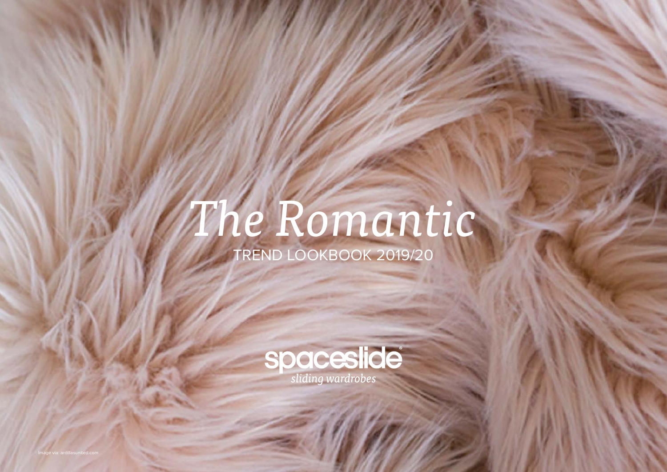# *The Romantic* TREND LOOKBOOK 2019/20

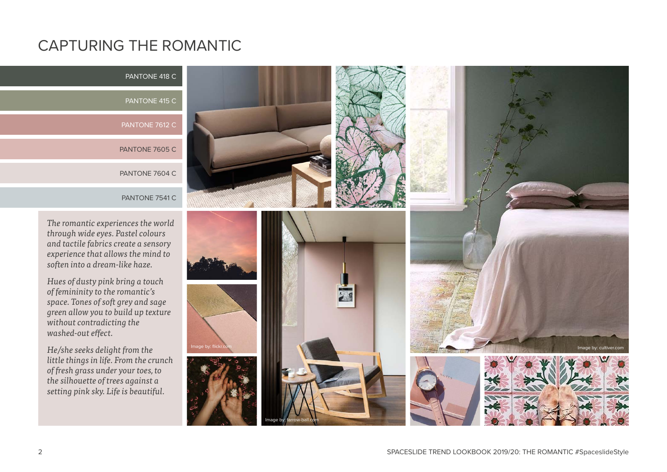## CAPTURING THE ROMANTIC

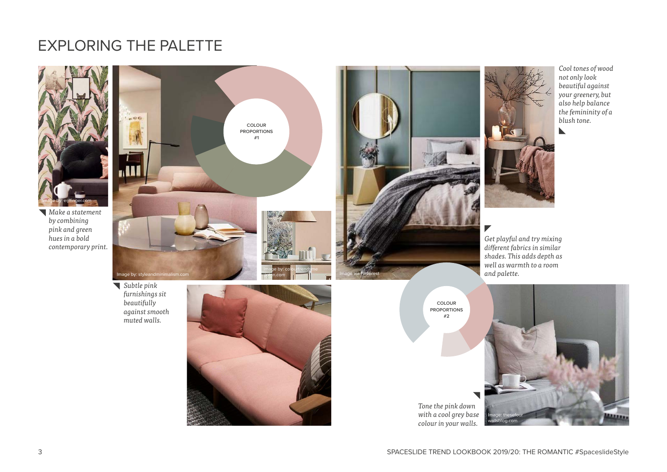### EXPLORING THE PALETTE

*muted walls.*



*Make a statement by combining pink and green hues in a bold contemporary print.*





*Cool tones of wood not only look beautiful against your greenery, but also help balance the femininity of a blush tone.*

 $\blacktriangleright$ 

*Get playful and try mixing different fabrics in similar shades. This adds depth as well as warmth to a room and palette.*

**COLOUR PROPORTIONS #2**

#### *Tone the pink down with a cool grey base colour in your walls.*

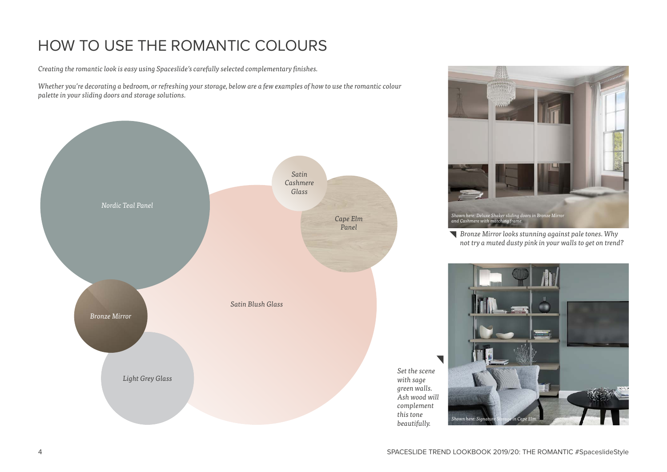# HOW TO USE THE ROMANTIC COLOURS

*Creating the romantic look is easy using Spaceslide's carefully selected complementary finishes.* 

*Whether you're decorating a bedroom, or refreshing your storage, below are a few examples of how to use the romantic colour palette in your sliding doors and storage solutions.*





*Bronze Mirror looks stunning against pale tones. Why not try a muted dusty pink in your walls to get on trend?*